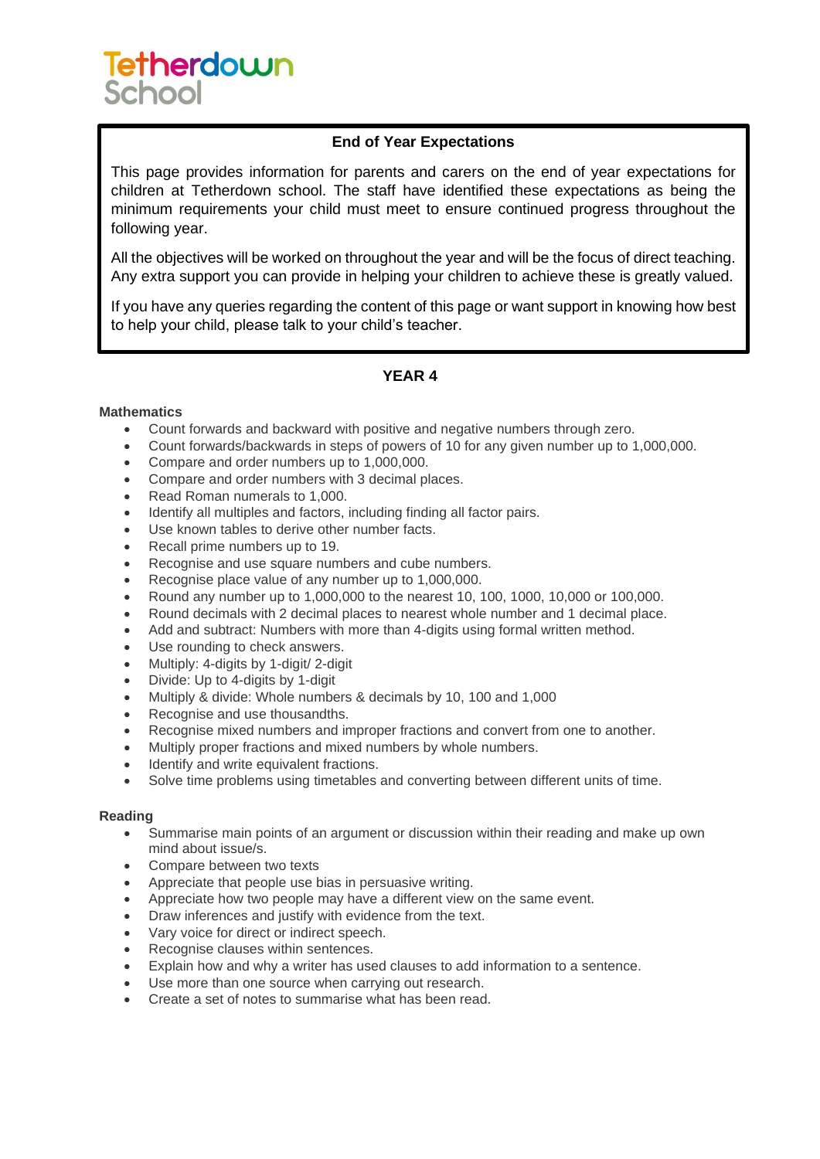# **Tetherdown** School

### **End of Year Expectations**

This page provides information for parents and carers on the end of year expectations for children at Tetherdown school. The staff have identified these expectations as being the minimum requirements your child must meet to ensure continued progress throughout the following year.

All the objectives will be worked on throughout the year and will be the focus of direct teaching. Any extra support you can provide in helping your children to achieve these is greatly valued.

If you have any queries regarding the content of this page or want support in knowing how best to help your child, please talk to your child's teacher.

## **YEAR 4**

#### **Mathematics**

- Count forwards and backward with positive and negative numbers through zero.
- Count forwards/backwards in steps of powers of 10 for any given number up to 1,000,000.
- Compare and order numbers up to 1,000,000.
- Compare and order numbers with 3 decimal places.
- Read Roman numerals to 1,000.
- Identify all multiples and factors, including finding all factor pairs.
- Use known tables to derive other number facts.
- Recall prime numbers up to 19.
- Recognise and use square numbers and cube numbers.
- Recognise place value of any number up to 1,000,000.
- Round any number up to 1,000,000 to the nearest 10, 100, 1000, 10,000 or 100,000.
- Round decimals with 2 decimal places to nearest whole number and 1 decimal place.
- Add and subtract: Numbers with more than 4-digits using formal written method.
- Use rounding to check answers.
- Multiply: 4-digits by 1-digit/ 2-digit
- Divide: Up to 4-digits by 1-digit
- Multiply & divide: Whole numbers & decimals by 10, 100 and 1,000
- Recognise and use thousandths.
- Recognise mixed numbers and improper fractions and convert from one to another.
- Multiply proper fractions and mixed numbers by whole numbers.
- Identify and write equivalent fractions.
- Solve time problems using timetables and converting between different units of time.

#### **Reading**

- Summarise main points of an argument or discussion within their reading and make up own mind about issue/s.
- Compare between two texts
- Appreciate that people use bias in persuasive writing.
- Appreciate how two people may have a different view on the same event.
- Draw inferences and justify with evidence from the text.
- Vary voice for direct or indirect speech.
- Recognise clauses within sentences.
- Explain how and why a writer has used clauses to add information to a sentence.
- Use more than one source when carrying out research.
- Create a set of notes to summarise what has been read.